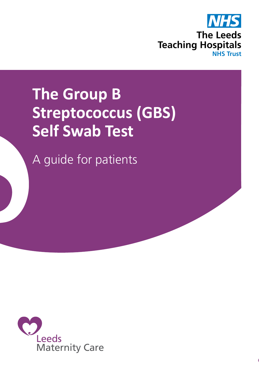

# **The Group B Streptococcus (GBS) Self Swab Test**

A guide for patients

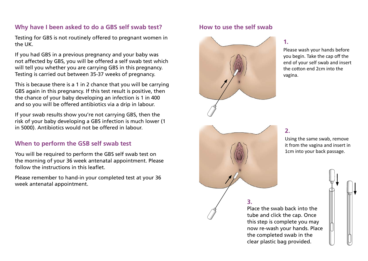# **Why have I been asked to do a GBS self swab test?**

Testing for GBS is not routinely offered to pregnant women in the UK.

If you had GBS in a previous pregnancy and your baby was not affected by GBS, you will be offered a self swab test which will tell you whether you are carrying GBS in this pregnancy. Testing is carried out between 35-37 weeks of pregnancy.

This is because there is a 1 in 2 chance that you will be carrying GBS again in this pregnancy. If this test result is positive, then the chance of your baby developing an infection is 1 in 400 and so you will be offered antibiotics via a drip in labour.

If your swab results show you're not carrying GBS, then the risk of your baby developing a GBS infection is much lower (1 in 5000). Antibiotics would not be offered in labour.

# **When to perform the GSB self swab test**

You will be required to perform the GBS self swab test on the morning of your 36 week antenatal appointment. Please follow the instructions in this leaflet.

Please remember to hand-in your completed test at your 36 week antenatal appointment.

### **How to use the self swab**



**1.**

Please wash your hands before you begin. Take the cap off the end of your self swab and insert the cotton end 2cm into the vagina.

#### **2.**

Using the same swab, remove it from the vagina and insert in 1cm into your back passage.



**3.**

Place the swab back into the tube and click the cap. Once this step is complete you may now re-wash your hands. Place the completed swab in the clear plastic bag provided.